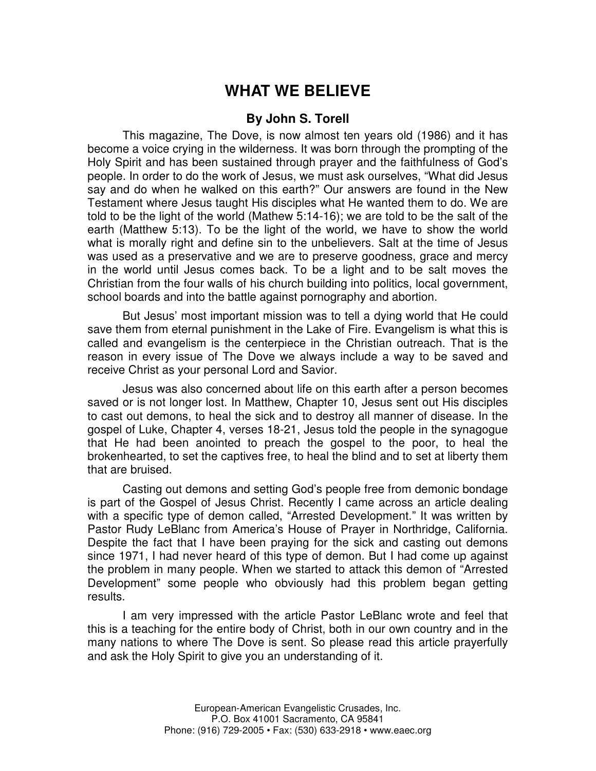## **WHAT WE BELIEVE**

## **By John S. Torell**

This magazine, The Dove, is now almost ten years old (1986) and it has become a voice crying in the wilderness. It was born through the prompting of the Holy Spirit and has been sustained through prayer and the faithfulness of God's people. In order to do the work of Jesus, we must ask ourselves, "What did Jesus say and do when he walked on this earth?" Our answers are found in the New Testament where Jesus taught His disciples what He wanted them to do. We are told to be the light of the world (Mathew 5:14-16); we are told to be the salt of the earth (Matthew 5:13). To be the light of the world, we have to show the world what is morally right and define sin to the unbelievers. Salt at the time of Jesus was used as a preservative and we are to preserve goodness, grace and mercy in the world until Jesus comes back. To be a light and to be salt moves the Christian from the four walls of his church building into politics, local government, school boards and into the battle against pornography and abortion.

But Jesus' most important mission was to tell a dying world that He could save them from eternal punishment in the Lake of Fire. Evangelism is what this is called and evangelism is the centerpiece in the Christian outreach. That is the reason in every issue of The Dove we always include a way to be saved and receive Christ as your personal Lord and Savior.

Jesus was also concerned about life on this earth after a person becomes saved or is not longer lost. In Matthew, Chapter 10, Jesus sent out His disciples to cast out demons, to heal the sick and to destroy all manner of disease. In the gospel of Luke, Chapter 4, verses 18-21, Jesus told the people in the synagogue that He had been anointed to preach the gospel to the poor, to heal the brokenhearted, to set the captives free, to heal the blind and to set at liberty them that are bruised.

Casting out demons and setting God's people free from demonic bondage is part of the Gospel of Jesus Christ. Recently I came across an article dealing with a specific type of demon called, "Arrested Development." It was written by Pastor Rudy LeBlanc from America's House of Prayer in Northridge, California. Despite the fact that I have been praying for the sick and casting out demons since 1971, I had never heard of this type of demon. But I had come up against the problem in many people. When we started to attack this demon of "Arrested Development" some people who obviously had this problem began getting results.

I am very impressed with the article Pastor LeBlanc wrote and feel that this is a teaching for the entire body of Christ, both in our own country and in the many nations to where The Dove is sent. So please read this article prayerfully and ask the Holy Spirit to give you an understanding of it.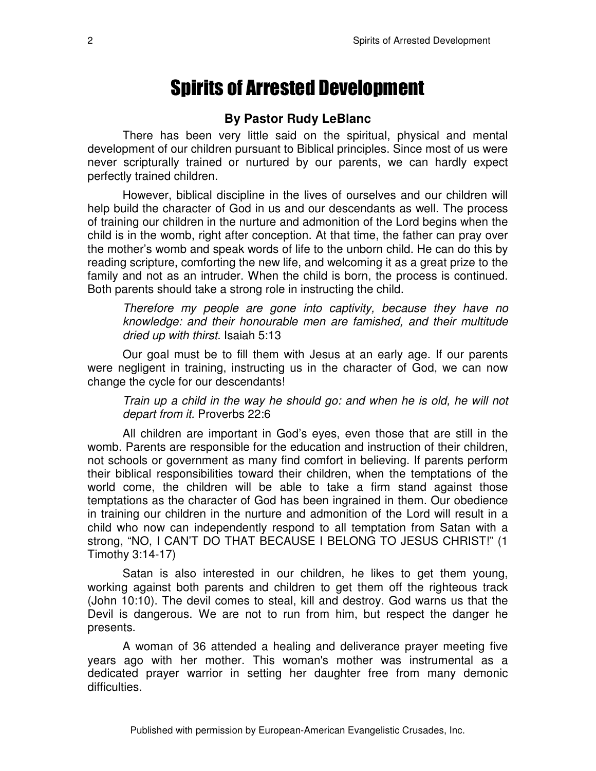## **Spirits of Arrested Development**

## **By Pastor Rudy LeBlanc**

There has been very little said on the spiritual, physical and mental development of our children pursuant to Biblical principles. Since most of us were never scripturally trained or nurtured by our parents, we can hardly expect perfectly trained children.

However, biblical discipline in the lives of ourselves and our children will help build the character of God in us and our descendants as well. The process of training our children in the nurture and admonition of the Lord begins when the child is in the womb, right after conception. At that time, the father can pray over the mother's womb and speak words of life to the unborn child. He can do this by reading scripture, comforting the new life, and welcoming it as a great prize to the family and not as an intruder. When the child is born, the process is continued. Both parents should take a strong role in instructing the child.

*Therefore my people are gone into captivity, because they have no knowledge: and their honourable men are famished, and their multitude dried up with thirst.* Isaiah 5:13

Our goal must be to fill them with Jesus at an early age. If our parents were negligent in training, instructing us in the character of God, we can now change the cycle for our descendants!

*Train up a child in the way he should go: and when he is old, he will not depart from it.* Proverbs 22:6

All children are important in God's eyes, even those that are still in the womb. Parents are responsible for the education and instruction of their children, not schools or government as many find comfort in believing. If parents perform their biblical responsibilities toward their children, when the temptations of the world come, the children will be able to take a firm stand against those temptations as the character of God has been ingrained in them. Our obedience in training our children in the nurture and admonition of the Lord will result in a child who now can independently respond to all temptation from Satan with a strong, "NO, I CAN'T DO THAT BECAUSE I BELONG TO JESUS CHRIST!" (1 Timothy 3:14-17)

Satan is also interested in our children, he likes to get them young, working against both parents and children to get them off the righteous track (John 10:10). The devil comes to steal, kill and destroy. God warns us that the Devil is dangerous. We are not to run from him, but respect the danger he presents.

A woman of 36 attended a healing and deliverance prayer meeting five years ago with her mother. This woman's mother was instrumental as a dedicated prayer warrior in setting her daughter free from many demonic difficulties.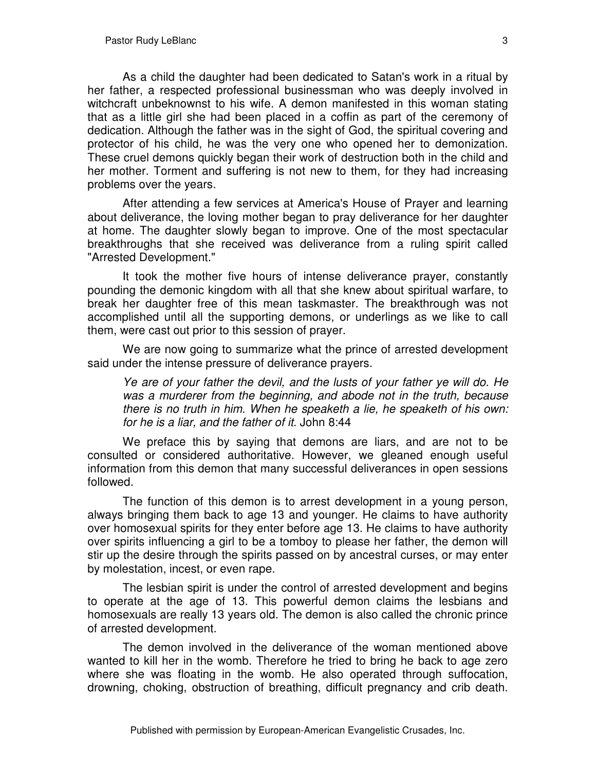As a child the daughter had been dedicated to Satan's work in a ritual by her father, a respected professional businessman who was deeply involved in witchcraft unbeknownst to his wife. A demon manifested in this woman stating that as a little girl she had been placed in a coffin as part of the ceremony of dedication. Although the father was in the sight of God, the spiritual covering and protector of his child, he was the very one who opened her to demonization. These cruel demons quickly began their work of destruction both in the child and her mother. Torment and suffering is not new to them, for they had increasing problems over the years.

After attending a few services at America's House of Prayer and learning about deliverance, the loving mother began to pray deliverance for her daughter at home. The daughter slowly began to improve. One of the most spectacular breakthroughs that she received was deliverance from a ruling spirit called "Arrested Development."

It took the mother five hours of intense deliverance prayer, constantly pounding the demonic kingdom with all that she knew about spiritual warfare, to break her daughter free of this mean taskmaster. The breakthrough was not accomplished until all the supporting demons, or underlings as we like to call them, were cast out prior to this session of prayer.

We are now going to summarize what the prince of arrested development said under the intense pressure of deliverance prayers.

*Ye are of your father the devil, and the lusts of your father ye will do. He was a murderer from the beginning, and abode not in the truth, because there is no truth in him. When he speaketh a lie, he speaketh of his own: for he is a liar, and the father of it.* John 8:44

We preface this by saying that demons are liars, and are not to be consulted or considered authoritative. However, we gleaned enough useful information from this demon that many successful deliverances in open sessions followed.

The function of this demon is to arrest development in a young person, always bringing them back to age 13 and younger. He claims to have authority over homosexual spirits for they enter before age 13. He claims to have authority over spirits influencing a girl to be a tomboy to please her father, the demon will stir up the desire through the spirits passed on by ancestral curses, or may enter by molestation, incest, or even rape.

The lesbian spirit is under the control of arrested development and begins to operate at the age of 13. This powerful demon claims the lesbians and homosexuals are really 13 years old. The demon is also called the chronic prince of arrested development.

The demon involved in the deliverance of the woman mentioned above wanted to kill her in the womb. Therefore he tried to bring he back to age zero where she was floating in the womb. He also operated through suffocation, drowning, choking, obstruction of breathing, difficult pregnancy and crib death.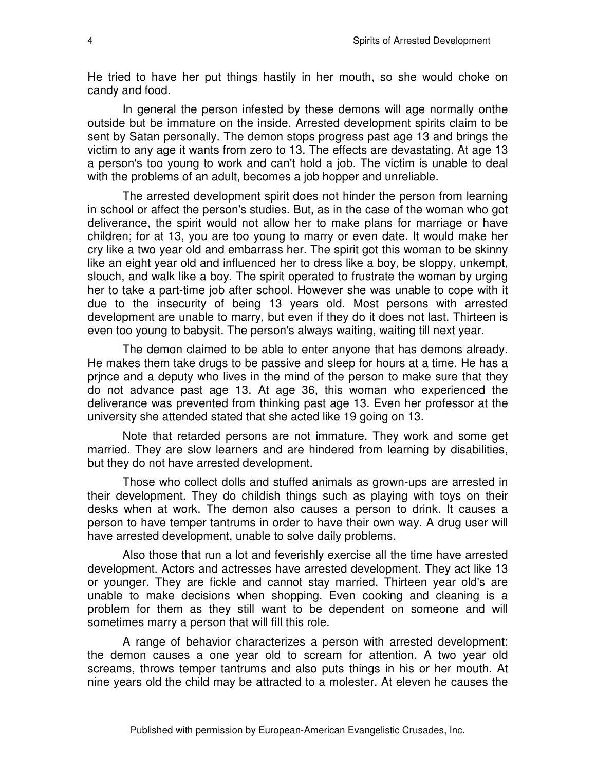He tried to have her put things hastily in her mouth, so she would choke on candy and food.

In general the person infested by these demons will age normally onthe outside but be immature on the inside. Arrested development spirits claim to be sent by Satan personally. The demon stops progress past age 13 and brings the victim to any age it wants from zero to 13. The effects are devastating. At age 13 a person's too young to work and can't hold a job. The victim is unable to deal with the problems of an adult, becomes a job hopper and unreliable.

The arrested development spirit does not hinder the person from learning in school or affect the person's studies. But, as in the case of the woman who got deliverance, the spirit would not allow her to make plans for marriage or have children; for at 13, you are too young to marry or even date. It would make her cry like a two year old and embarrass her. The spirit got this woman to be skinny like an eight year old and influenced her to dress like a boy, be sloppy, unkempt, slouch, and walk like a boy. The spirit operated to frustrate the woman by urging her to take a part-time job after school. However she was unable to cope with it due to the insecurity of being 13 years old. Most persons with arrested development are unable to marry, but even if they do it does not last. Thirteen is even too young to babysit. The person's always waiting, waiting till next year.

The demon claimed to be able to enter anyone that has demons already. He makes them take drugs to be passive and sleep for hours at a time. He has a prjnce and a deputy who lives in the mind of the person to make sure that they do not advance past age 13. At age 36, this woman who experienced the deliverance was prevented from thinking past age 13. Even her professor at the university she attended stated that she acted like 19 going on 13.

Note that retarded persons are not immature. They work and some get married. They are slow learners and are hindered from learning by disabilities, but they do not have arrested development.

Those who collect dolls and stuffed animals as grown-ups are arrested in their development. They do childish things such as playing with toys on their desks when at work. The demon also causes a person to drink. It causes a person to have temper tantrums in order to have their own way. A drug user will have arrested development, unable to solve daily problems.

Also those that run a lot and feverishly exercise all the time have arrested development. Actors and actresses have arrested development. They act like 13 or younger. They are fickle and cannot stay married. Thirteen year old's are unable to make decisions when shopping. Even cooking and cleaning is a problem for them as they still want to be dependent on someone and will sometimes marry a person that will fill this role.

A range of behavior characterizes a person with arrested development; the demon causes a one year old to scream for attention. A two year old screams, throws temper tantrums and also puts things in his or her mouth. At nine years old the child may be attracted to a molester. At eleven he causes the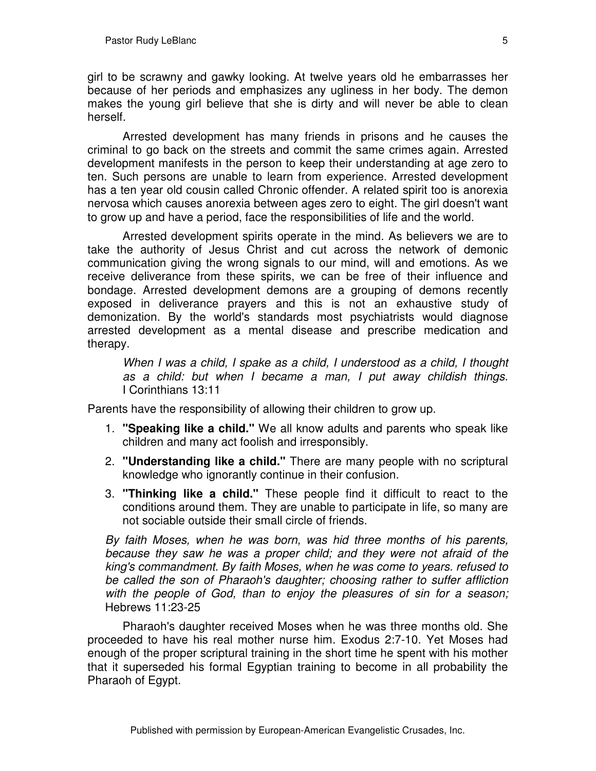girl to be scrawny and gawky looking. At twelve years old he embarrasses her because of her periods and emphasizes any ugliness in her body. The demon makes the young girl believe that she is dirty and will never be able to clean herself.

Arrested development has many friends in prisons and he causes the criminal to go back on the streets and commit the same crimes again. Arrested development manifests in the person to keep their understanding at age zero to ten. Such persons are unable to learn from experience. Arrested development has a ten year old cousin called Chronic offender. A related spirit too is anorexia nervosa which causes anorexia between ages zero to eight. The girl doesn't want to grow up and have a period, face the responsibilities of life and the world.

Arrested development spirits operate in the mind. As believers we are to take the authority of Jesus Christ and cut across the network of demonic communication giving the wrong signals to our mind, will and emotions. As we receive deliverance from these spirits, we can be free of their influence and bondage. Arrested development demons are a grouping of demons recently exposed in deliverance prayers and this is not an exhaustive study of demonization. By the world's standards most psychiatrists would diagnose arrested development as a mental disease and prescribe medication and therapy.

*When I was a child, I spake as a child, I understood as a child, I thought as a child: but when I became a man, I put away childish things.* I Corinthians 13:11

Parents have the responsibility of allowing their children to grow up.

- 1. **"Speaking like a child."** We all know adults and parents who speak like children and many act foolish and irresponsibly.
- 2. **"Understanding like a child."** There are many people with no scriptural knowledge who ignorantly continue in their confusion.
- 3. **"Thinking like a child."** These people find it difficult to react to the conditions around them. They are unable to participate in life, so many are not sociable outside their small circle of friends.

*By faith Moses, when he was born, was hid three months of his parents, because they saw he was a proper child; and they were not afraid of the king's commandment. By faith Moses, when he was come to years. refused to be called the son of Pharaoh's daughter; choosing rather to suffer affliction with the people of God, than to enjoy the pleasures of sin for a season;* Hebrews 11:23-25

Pharaoh's daughter received Moses when he was three months old. She proceeded to have his real mother nurse him. Exodus 2:7-10. Yet Moses had enough of the proper scriptural training in the short time he spent with his mother that it superseded his formal Egyptian training to become in all probability the Pharaoh of Egypt.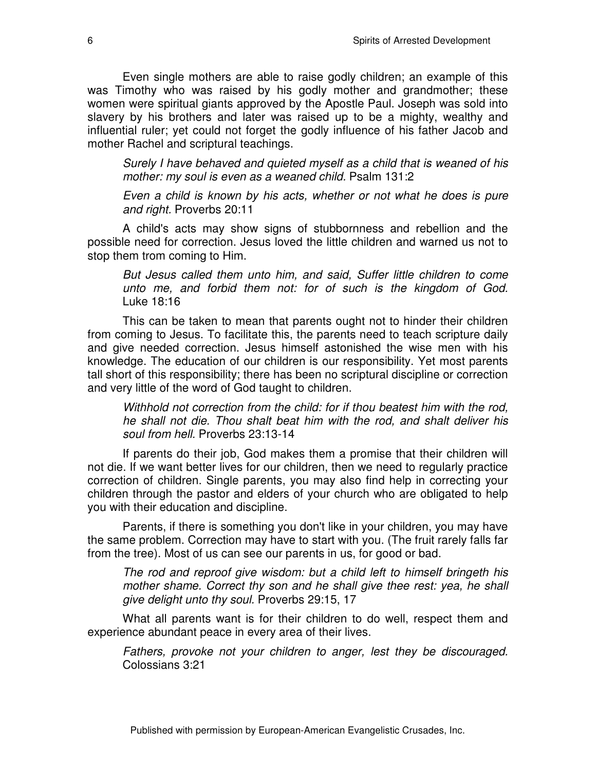Even single mothers are able to raise godly children; an example of this was Timothy who was raised by his godly mother and grandmother; these women were spiritual giants approved by the Apostle Paul. Joseph was sold into slavery by his brothers and later was raised up to be a mighty, wealthy and influential ruler; yet could not forget the godly influence of his father Jacob and mother Rachel and scriptural teachings.

*Surely I have behaved and quieted myself as a child that is weaned of his mother: my soul is even as a weaned child.* Psalm 131:2

*Even a child is known by his acts, whether or not what he does is pure and right.* Proverbs 20:11

A child's acts may show signs of stubbornness and rebellion and the possible need for correction. Jesus loved the little children and warned us not to stop them trom coming to Him.

*But Jesus called them unto him, and said, Suffer little children to come unto me, and forbid them not: for of such is the kingdom of God.* Luke 18:16

This can be taken to mean that parents ought not to hinder their children from coming to Jesus. To facilitate this, the parents need to teach scripture daily and give needed correction. Jesus himself astonished the wise men with his knowledge. The education of our children is our responsibility. Yet most parents tall short of this responsibility; there has been no scriptural discipline or correction and very little of the word of God taught to children.

*Withhold not correction from the child: for if thou beatest him with the rod, he shall not die. Thou shalt beat him with the rod, and shalt deliver his soul from hell.* Proverbs 23:13-14

If parents do their job, God makes them a promise that their children will not die. If we want better lives for our children, then we need to regularly practice correction of children. Single parents, you may also find help in correcting your children through the pastor and elders of your church who are obligated to help you with their education and discipline.

Parents, if there is something you don't like in your children, you may have the same problem. Correction may have to start with you. (The fruit rarely falls far from the tree). Most of us can see our parents in us, for good or bad.

*The rod and reproof give wisdom: but a child left to himself bringeth his mother shame. Correct thy son and he shall give thee rest: yea, he shall give delight unto thy soul.* Proverbs 29:15, 17

What all parents want is for their children to do well, respect them and experience abundant peace in every area of their lives.

*Fathers, provoke not your children to anger, lest they be discouraged.* Colossians 3:21